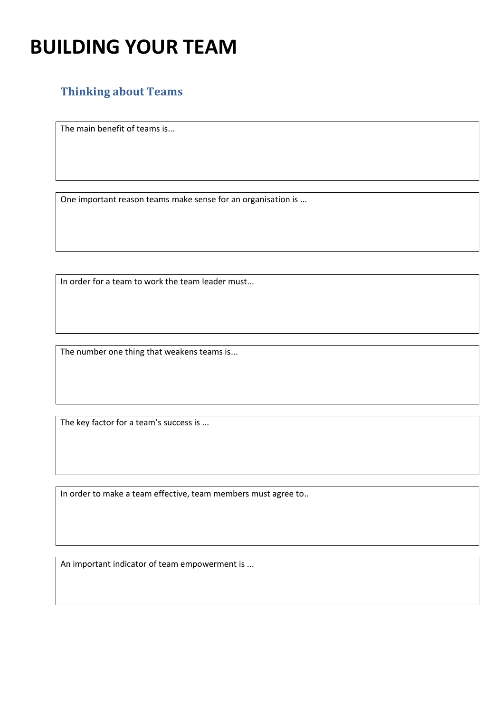## **BUILDING YOUR TEAM**

## **Thinking about Teams**

The main benefit of teams is...

One important reason teams make sense for an organisation is ...

In order for a team to work the team leader must...

The number one thing that weakens teams is...

The key factor for a team's success is ...

In order to make a team effective, team members must agree to..

An important indicator of team empowerment is ...